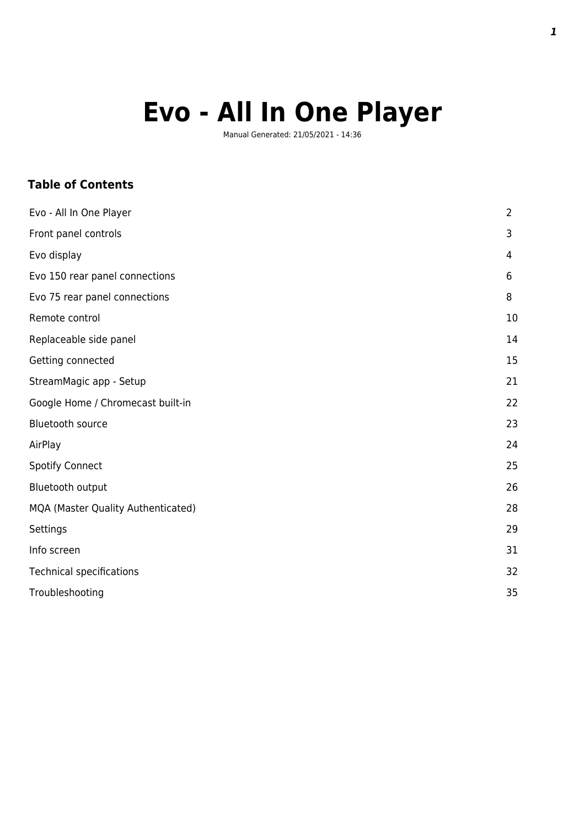# **Evo - All In One Player**

Manual Generated: 21/05/2021 - 14:36

### **Table of Contents**

| Evo - All In One Player            | $\overline{2}$ |
|------------------------------------|----------------|
| Front panel controls               | 3              |
| Evo display                        | 4              |
| Evo 150 rear panel connections     | 6              |
| Evo 75 rear panel connections      | 8              |
| Remote control                     | 10             |
| Replaceable side panel             | 14             |
| Getting connected                  | 15             |
| StreamMagic app - Setup            | 21             |
| Google Home / Chromecast built-in  | 22             |
| <b>Bluetooth source</b>            | 23             |
| AirPlay                            | 24             |
| <b>Spotify Connect</b>             | 25             |
| Bluetooth output                   | 26             |
| MQA (Master Quality Authenticated) | 28             |
| Settings                           | 29             |
| Info screen                        | 31             |
| <b>Technical specifications</b>    | 32             |
| Troubleshooting                    | 35             |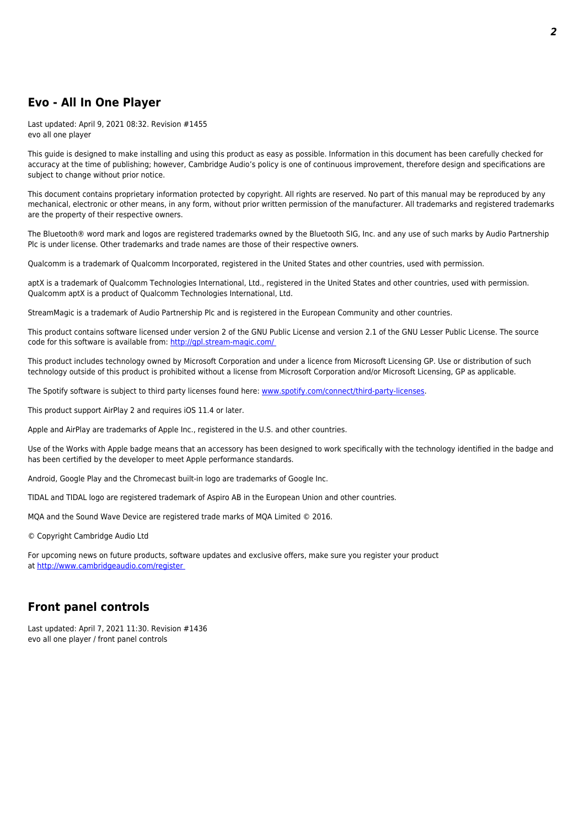### **Evo - All In One Player**

Last updated: April 9, 2021 08:32. Revision #1455 evo all one player

This guide is designed to make installing and using this product as easy as possible. Information in this document has been carefully checked for accuracy at the time of publishing; however, Cambridge Audio's policy is one of continuous improvement, therefore design and specifications are subject to change without prior notice.

This document contains proprietary information protected by copyright. All rights are reserved. No part of this manual may be reproduced by any mechanical, electronic or other means, in any form, without prior written permission of the manufacturer. All trademarks and registered trademarks are the property of their respective owners.

The Bluetooth® word mark and logos are registered trademarks owned by the Bluetooth SIG, Inc. and any use of such marks by Audio Partnership Plc is under license. Other trademarks and trade names are those of their respective owners.

Qualcomm is a trademark of Qualcomm Incorporated, registered in the United States and other countries, used with permission.

aptX is a trademark of Qualcomm Technologies International, Ltd., registered in the United States and other countries, used with permission. Qualcomm aptX is a product of Qualcomm Technologies International, Ltd.

StreamMagic is a trademark of Audio Partnership Plc and is registered in the European Community and other countries.

This product contains software licensed under version 2 of the GNU Public License and version 2.1 of the GNU Lesser Public License. The source code for this software is available from:<http://gpl.stream-magic.com/>

This product includes technology owned by Microsoft Corporation and under a licence from Microsoft Licensing GP. Use or distribution of such technology outside of this product is prohibited without a license from Microsoft Corporation and/or Microsoft Licensing, GP as applicable.

The Spotify software is subject to third party licenses found here: [www.spotify.com/connect/third-party-licenses](http://www.spotify.com/connect/third-party-licenses).

This product support AirPlay 2 and requires iOS 11.4 or later.

Apple and AirPlay are trademarks of Apple Inc., registered in the U.S. and other countries.

Use of the Works with Apple badge means that an accessory has been designed to work specifically with the technology identified in the badge and has been certified by the developer to meet Apple performance standards.

Android, Google Play and the Chromecast built-in logo are trademarks of Google Inc.

TIDAL and TIDAL logo are registered trademark of Aspiro AB in the European Union and other countries.

MQA and the Sound Wave Device are registered trade marks of MQA Limited © 2016.

© Copyright Cambridge Audio Ltd

For upcoming news on future products, software updates and exclusive offers, make sure you register your product at [http://www.cambridgeaudio.com/register](http://www.cambridgeaudio.com/register ) 

### **Front panel controls**

Last updated: April 7, 2021 11:30. Revision #1436 evo all one player / front panel controls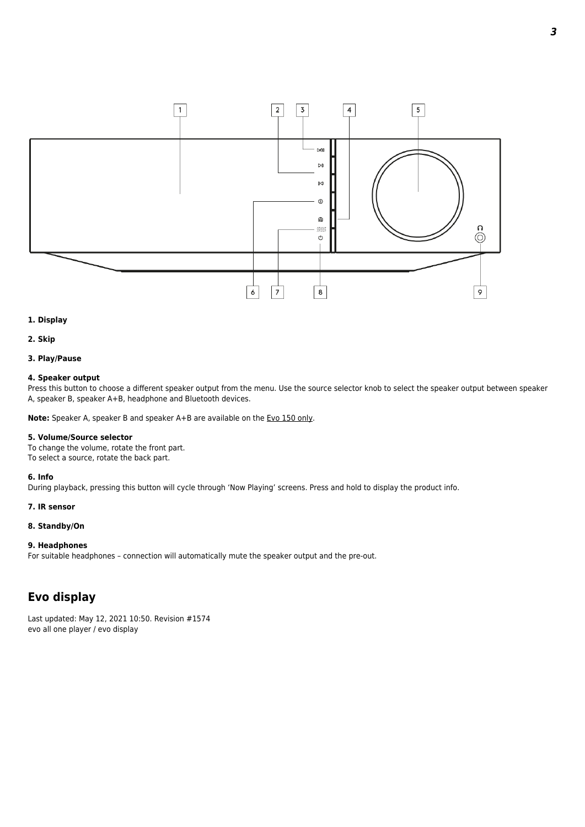

### **1. Display**

### **2. Skip**

### **3. Play/Pause**

### **4. Speaker output**

Press this button to choose a different speaker output from the menu. Use the source selector knob to select the speaker output between speaker A, speaker B, speaker A+B, headphone and Bluetooth devices.

**Note:** Speaker A, speaker B and speaker A+B are available on the Evo 150 only.

#### **5. Volume/Source selector**

To change the volume, rotate the front part. To select a source, rotate the back part.

### **6. Info**

During playback, pressing this button will cycle through 'Now Playing' screens. Press and hold to display the product info.

### **7. IR sensor**

### **8. Standby/On**

### **9. Headphones**

For suitable headphones – connection will automatically mute the speaker output and the pre-out.

### **Evo display**

Last updated: May 12, 2021 10:50. Revision #1574 evo all one player / evo display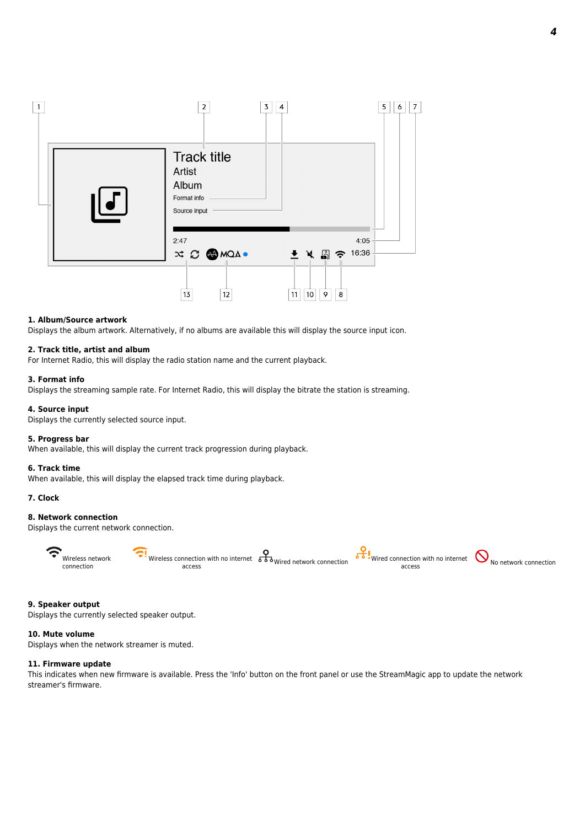

### **1. Album/Source artwork**

Displays the album artwork. Alternatively, if no albums are available this will display the source input icon.

#### **2. Track title, artist and album**

For Internet Radio, this will display the radio station name and the current playback.

### **3. Format info**

Displays the streaming sample rate. For Internet Radio, this will display the bitrate the station is streaming.

#### **4. Source input**

Displays the currently selected source input.

### **5. Progress bar**

When available, this will display the current track progression during playback.

### **6. Track time**

When available, this will display the elapsed track time during playback.

### **7. Clock**

### **8. Network connection**

Displays the current network connection.



### **9. Speaker output**

Displays the currently selected speaker output.

### **10. Mute volume**

Displays when the network streamer is muted.

### **11. Firmware update**

This indicates when new firmware is available. Press the 'Info' button on the front panel or use the StreamMagic app to update the network streamer's firmware.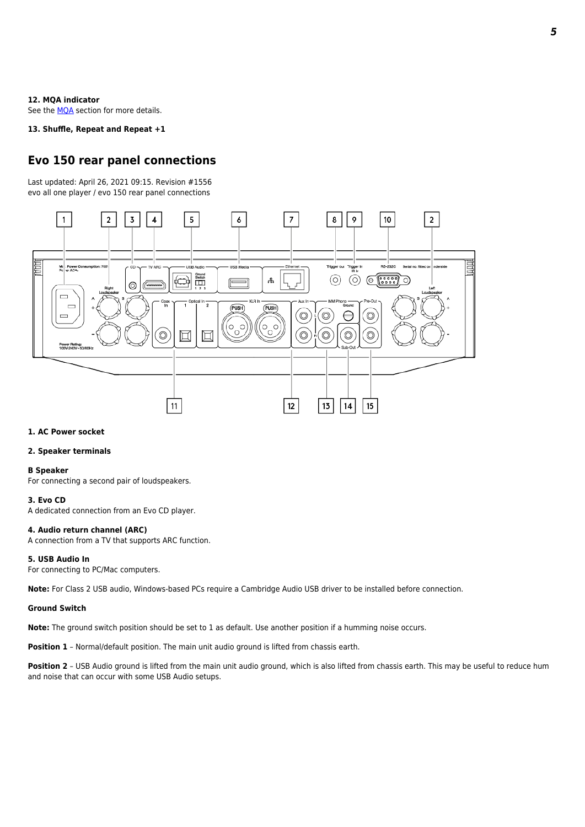#### **12. MQA indicator**

See the **MQA** section for more details.

### **13. Shuffle, Repeat and Repeat +1**

### **Evo 150 rear panel connections**

Last updated: April 26, 2021 09:15. Revision #1556 evo all one player / evo 150 rear panel connections



#### **1. AC Power socket**

### **2. Speaker terminals**

#### **B Speaker**

For connecting a second pair of loudspeakers.

#### **3. Evo CD**

A dedicated connection from an Evo CD player.

#### **4. Audio return channel (ARC)**

A connection from a TV that supports ARC function.

### **5. USB Audio In**

For connecting to PC/Mac computers.

**Note:** For Class 2 USB audio, Windows-based PCs require a Cambridge Audio USB driver to be installed before connection.

### **Ground Switch**

**Note:** The ground switch position should be set to 1 as default. Use another position if a humming noise occurs.

**Position 1** - Normal/default position. The main unit audio ground is lifted from chassis earth.

Position 2 - USB Audio ground is lifted from the main unit audio ground, which is also lifted from chassis earth. This may be useful to reduce hum and noise that can occur with some USB Audio setups.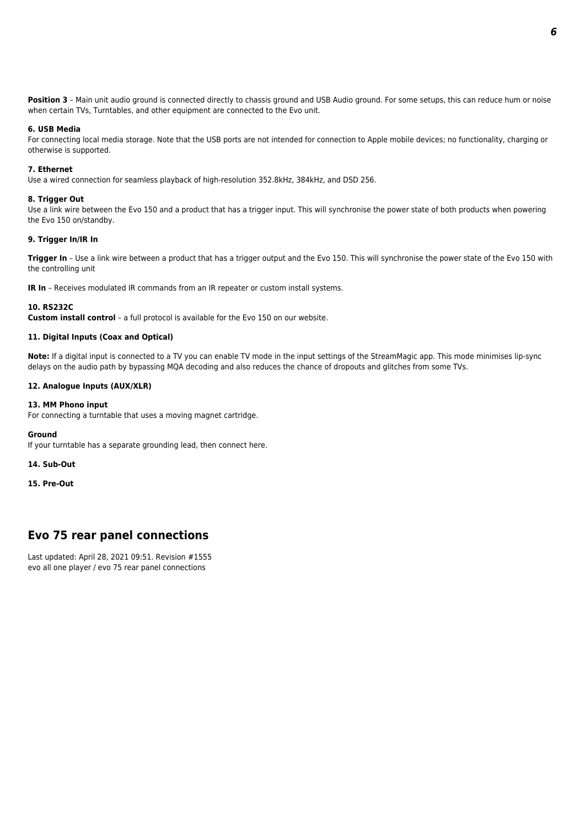**Position 3** – Main unit audio ground is connected directly to chassis ground and USB Audio ground. For some setups, this can reduce hum or noise when certain TVs, Turntables, and other equipment are connected to the Evo unit.

### **6. USB Media**

For connecting local media storage. Note that the USB ports are not intended for connection to Apple mobile devices; no functionality, charging or otherwise is supported.

### **7. Ethernet**

Use a wired connection for seamless playback of high-resolution 352.8kHz, 384kHz, and DSD 256.

### **8. Trigger Out**

Use a link wire between the Evo 150 and a product that has a trigger input. This will synchronise the power state of both products when powering the Evo 150 on/standby.

### **9. Trigger In/IR In**

**Trigger In** – Use a link wire between a product that has a trigger output and the Evo 150. This will synchronise the power state of the Evo 150 with the controlling unit

**IR In** - Receives modulated IR commands from an IR repeater or custom install systems.

### **10. RS232C**

**Custom install control** – a full protocol is available for the Evo 150 on our website.

### **11. Digital Inputs (Coax and Optical)**

**Note:** If a digital input is connected to a TV you can enable TV mode in the input settings of the StreamMagic app. This mode minimises lip-sync delays on the audio path by bypassing MQA decoding and also reduces the chance of dropouts and glitches from some TVs.

### **12. Analogue Inputs (AUX/XLR)**

### **13. MM Phono input**

For connecting a turntable that uses a moving magnet cartridge.

#### **Ground**

If your turntable has a separate grounding lead, then connect here.

**14. Sub-Out**

**15. Pre-Out**

### **Evo 75 rear panel connections**

Last updated: April 28, 2021 09:51. Revision #1555 evo all one player / evo 75 rear panel connections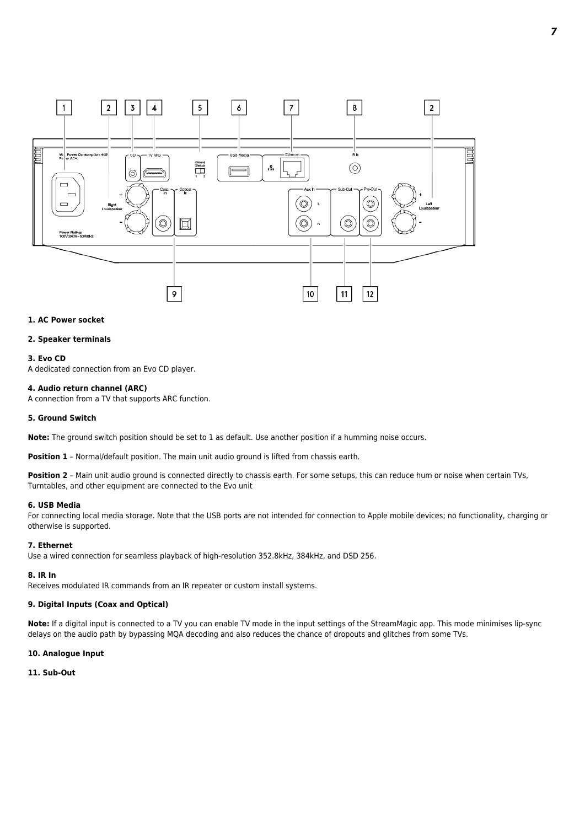

### **1. AC Power socket**

### **2. Speaker terminals**

#### **3. Evo CD**

A dedicated connection from an Evo CD player.

#### **4. Audio return channel (ARC)**

A connection from a TV that supports ARC function.

#### **5. Ground Switch**

**Note:** The ground switch position should be set to 1 as default. Use another position if a humming noise occurs.

Position 1 - Normal/default position. The main unit audio ground is lifted from chassis earth.

Position 2 - Main unit audio ground is connected directly to chassis earth. For some setups, this can reduce hum or noise when certain TVs, Turntables, and other equipment are connected to the Evo unit

#### **6. USB Media**

For connecting local media storage. Note that the USB ports are not intended for connection to Apple mobile devices; no functionality, charging or otherwise is supported.

### **7. Ethernet**

Use a wired connection for seamless playback of high-resolution 352.8kHz, 384kHz, and DSD 256.

#### **8. IR In**

Receives modulated IR commands from an IR repeater or custom install systems.

#### **9. Digital Inputs (Coax and Optical)**

**Note:** If a digital input is connected to a TV you can enable TV mode in the input settings of the StreamMagic app. This mode minimises lip-sync delays on the audio path by bypassing MQA decoding and also reduces the chance of dropouts and glitches from some TVs.

#### **10. Analogue Input**

### **11. Sub-Out**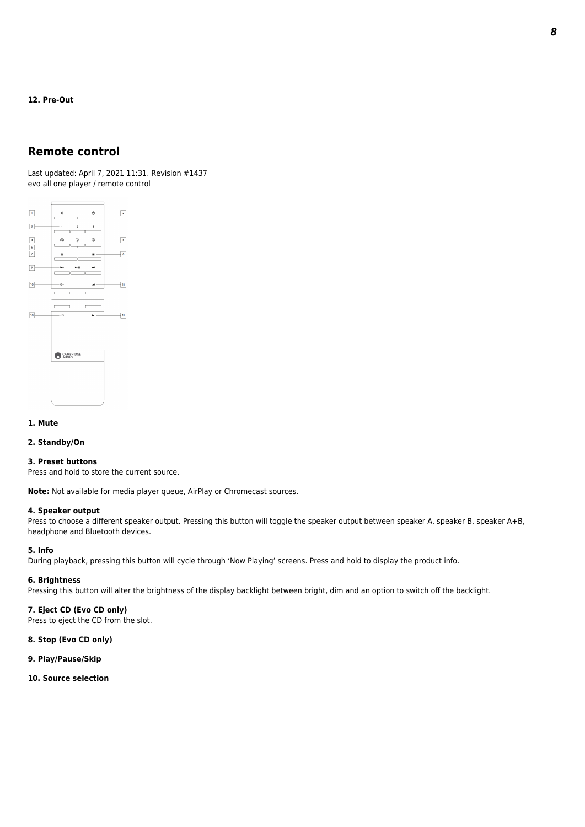**12. Pre-Out**

### **Remote control**

Last updated: April 7, 2021 11:31. Revision #1437 evo all one player / remote control



### **1. Mute**

### **2. Standby/On**

### **3. Preset buttons**

Press and hold to store the current source.

**Note:** Not available for media player queue, AirPlay or Chromecast sources.

### **4. Speaker output**

Press to choose a different speaker output. Pressing this button will toggle the speaker output between speaker A, speaker B, speaker A+B, headphone and Bluetooth devices.

### **5. Info**

During playback, pressing this button will cycle through 'Now Playing' screens. Press and hold to display the product info.

### **6. Brightness**

Pressing this button will alter the brightness of the display backlight between bright, dim and an option to switch off the backlight.

### **7. Eject CD (Evo CD only)**

Press to eject the CD from the slot.

### **8. Stop (Evo CD only)**

- **9. Play/Pause/Skip**
- **10. Source selection**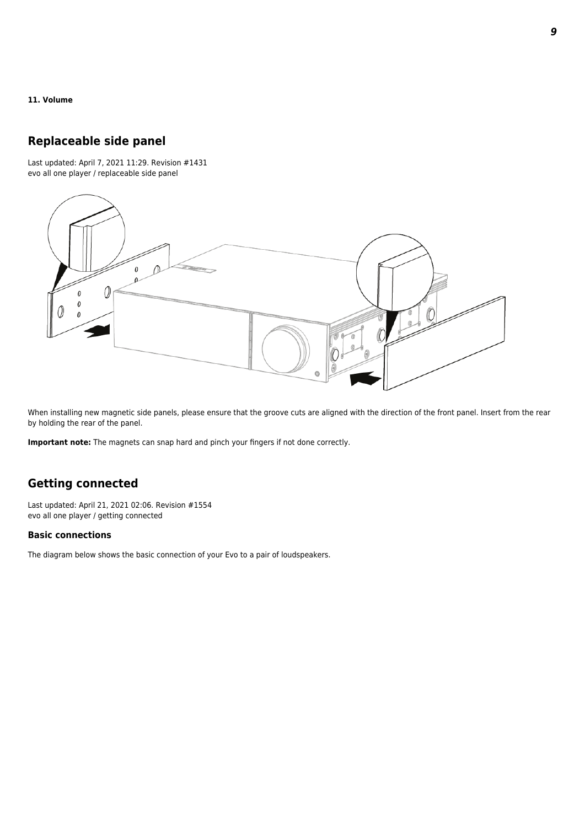### **11. Volume**

### **Replaceable side panel**

Last updated: April 7, 2021 11:29. Revision #1431 evo all one player / replaceable side panel



When installing new magnetic side panels, please ensure that the groove cuts are aligned with the direction of the front panel. Insert from the rear by holding the rear of the panel.

**Important note:** The magnets can snap hard and pinch your fingers if not done correctly.

### **Getting connected**

Last updated: April 21, 2021 02:06. Revision #1554 evo all one player / getting connected

### **Basic connections**

The diagram below shows the basic connection of your Evo to a pair of loudspeakers.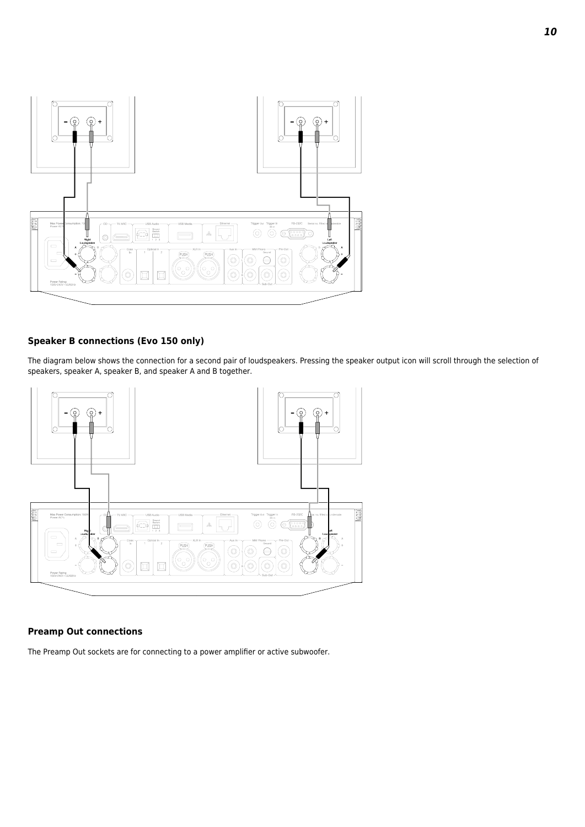

### **Speaker B connections (Evo 150 only)**

The diagram below shows the connection for a second pair of loudspeakers. Pressing the speaker output icon will scroll through the selection of speakers, speaker A, speaker B, and speaker A and B together.



### **Preamp Out connections**

The Preamp Out sockets are for connecting to a power amplifier or active subwoofer.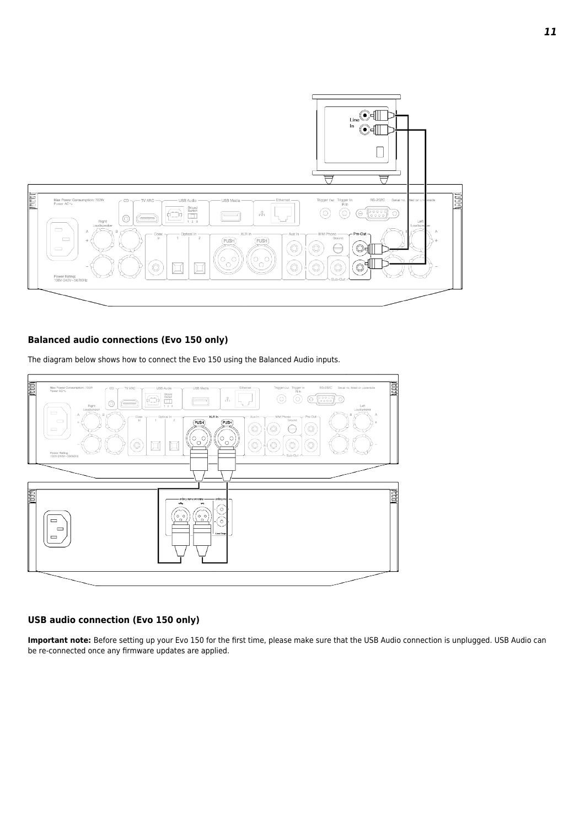

### **Balanced audio connections (Evo 150 only)**

The diagram below shows how to connect the Evo 150 using the Balanced Audio inputs.



### **USB audio connection (Evo 150 only)**

**Important note:** Before setting up your Evo 150 for the first time, please make sure that the USB Audio connection is unplugged. USB Audio can be re-connected once any firmware updates are applied.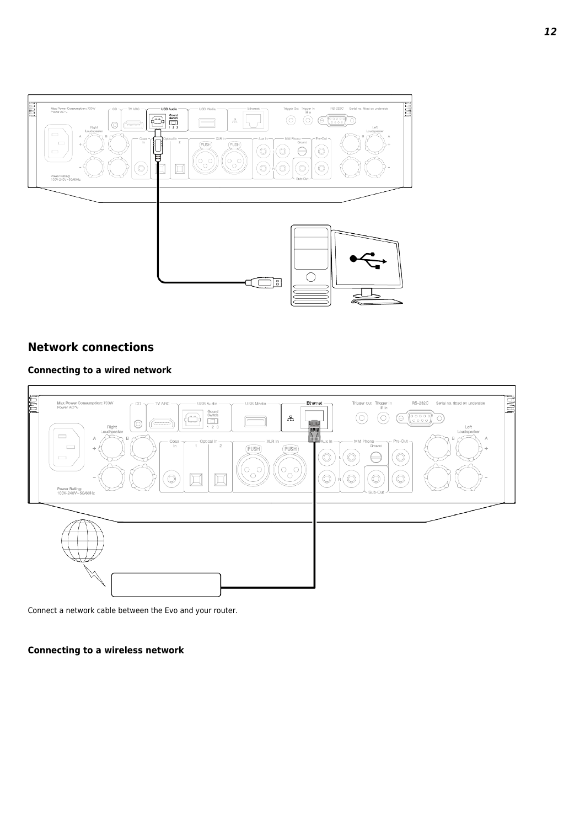

### **Network connections**

### **Connecting to a wired network**



Connect a network cable between the Evo and your router.

### **Connecting to a wireless network**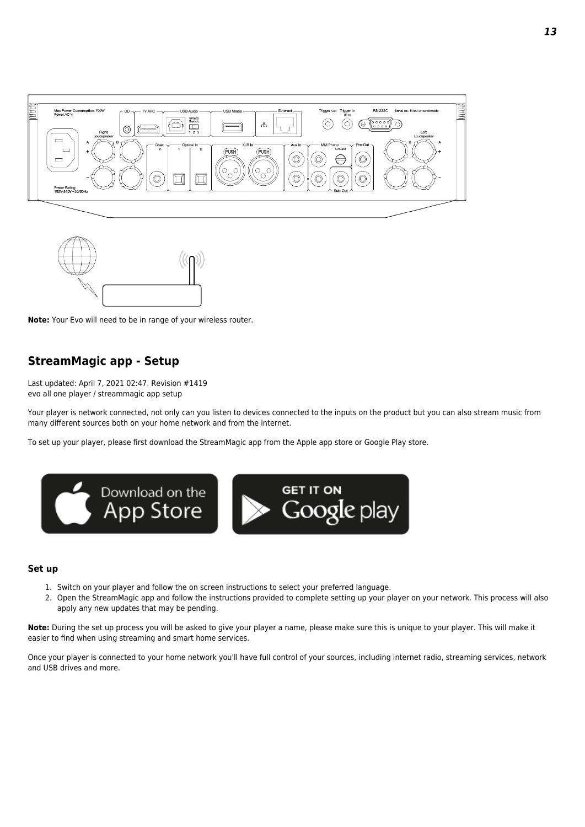





### **StreamMagic app - Setup**

Last updated: April 7, 2021 02:47. Revision #1419 evo all one player / streammagic app setup

Your player is network connected, not only can you listen to devices connected to the inputs on the product but you can also stream music from many different sources both on your home network and from the internet.

To set up your player, please first download the StreamMagic app from the Apple app store or Google Play store.



### **Set up**

- 1. Switch on your player and follow the on screen instructions to select your preferred language.
- 2. Open the StreamMagic app and follow the instructions provided to complete setting up your player on your network. This process will also apply any new updates that may be pending.

**Note:** During the set up process you will be asked to give your player a name, please make sure this is unique to your player. This will make it easier to find when using streaming and smart home services.

Once your player is connected to your home network you'll have full control of your sources, including internet radio, streaming services, network and USB drives and more.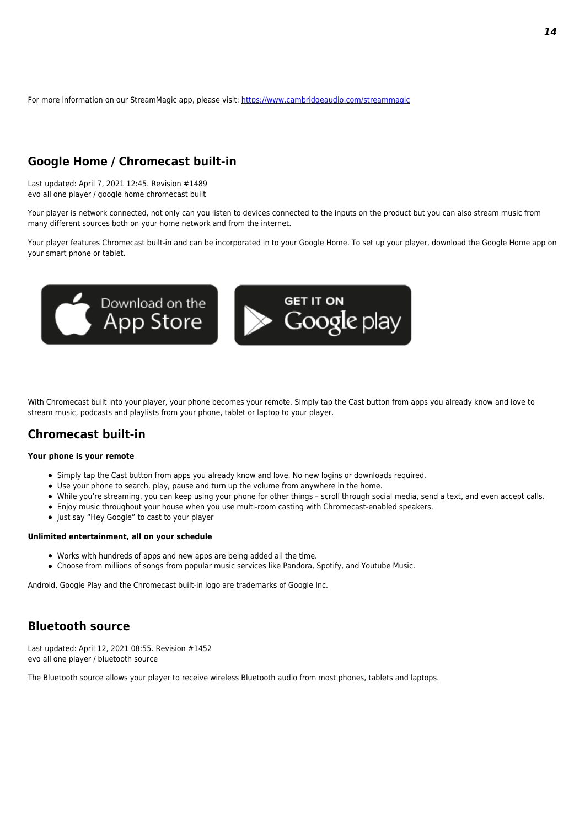For more information on our StreamMagic app, please visit: <https://www.cambridgeaudio.com/streammagic>

### **Google Home / Chromecast built-in**

Last updated: April 7, 2021 12:45. Revision #1489 evo all one player / google home chromecast built

Your player is network connected, not only can you listen to devices connected to the inputs on the product but you can also stream music from many different sources both on your home network and from the internet.

Your player features Chromecast built-in and can be incorporated in to your Google Home. To set up your player, download the Google Home app on your smart phone or tablet.



With Chromecast built into your player, your phone becomes your remote. Simply tap the Cast button from apps you already know and love to stream music, podcasts and playlists from your phone, tablet or laptop to your player.

### **Chromecast built-in**

### **Your phone is your remote**

- Simply tap the Cast button from apps you already know and love. No new logins or downloads required.
- Use your phone to search, play, pause and turn up the volume from anywhere in the home.
- While you're streaming, you can keep using your phone for other things scroll through social media, send a text, and even accept calls.
- Enjoy music throughout your house when you use multi-room casting with Chromecast-enabled speakers.
- Just say "Hey Google" to cast to your player

### **Unlimited entertainment, all on your schedule**

- Works with hundreds of apps and new apps are being added all the time.
- Choose from millions of songs from popular music services like Pandora, Spotify, and Youtube Music.

Android, Google Play and the Chromecast built-in logo are trademarks of Google Inc.

### **Bluetooth source**

Last updated: April 12, 2021 08:55. Revision #1452 evo all one player / bluetooth source

The Bluetooth source allows your player to receive wireless Bluetooth audio from most phones, tablets and laptops.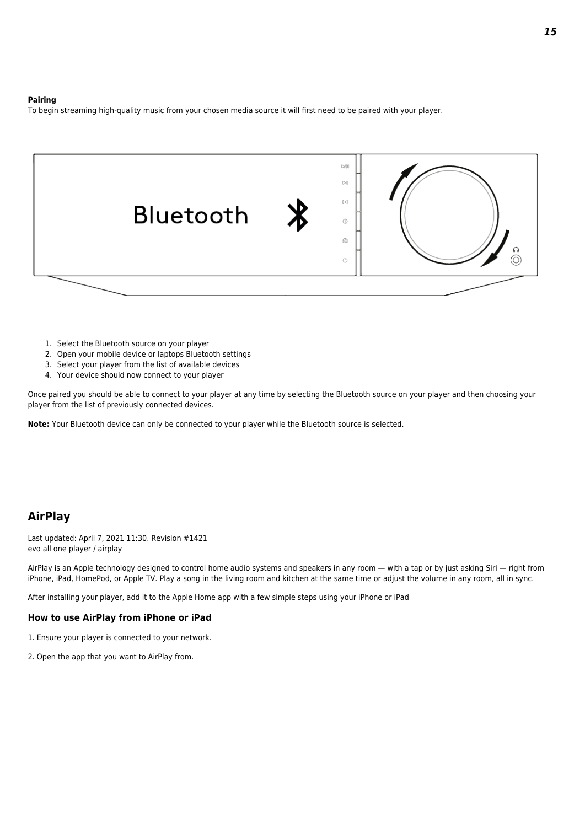#### **Pairing**

To begin streaming high-quality music from your chosen media source it will first need to be paired with your player.



- 1. Select the Bluetooth source on your player
- 2. Open your mobile device or laptops Bluetooth settings
- 3. Select your player from the list of available devices
- 4. Your device should now connect to your player

Once paired you should be able to connect to your player at any time by selecting the Bluetooth source on your player and then choosing your player from the list of previously connected devices.

**Note:** Your Bluetooth device can only be connected to your player while the Bluetooth source is selected.

### **AirPlay**

Last updated: April 7, 2021 11:30. Revision #1421 evo all one player / airplay

AirPlay is an Apple technology designed to control home audio systems and speakers in any room — with a tap or by just asking Siri — right from iPhone, iPad, HomePod, or Apple TV. Play a song in the living room and kitchen at the same time or adjust the volume in any room, all in sync.

After installing your player, add it to the Apple Home app with a few simple steps using your iPhone or iPad

### **How to use AirPlay from iPhone or iPad**

- 1. Ensure your player is connected to your network.
- 2. Open the app that you want to AirPlay from.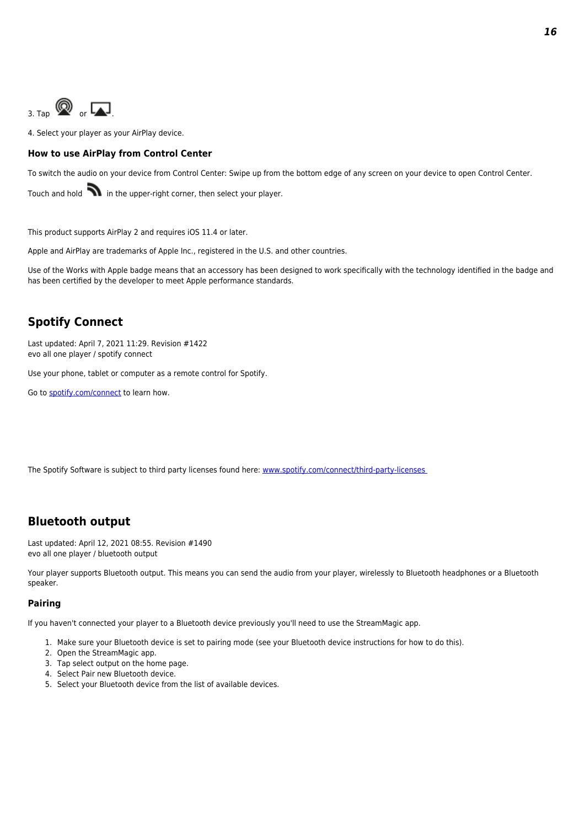

4. Select your player as your AirPlay device.

### **How to use AirPlay from Control Center**

To switch the audio on your device from Control Center: Swipe up from the bottom edge of any screen on your device to open Control Center.

Touch and hold  $\blacksquare$  in the upper-right corner, then select your player.

This product supports AirPlay 2 and requires iOS 11.4 or later.

Apple and AirPlay are trademarks of Apple Inc., registered in the U.S. and other countries.

Use of the Works with Apple badge means that an accessory has been designed to work specifically with the technology identified in the badge and has been certified by the developer to meet Apple performance standards.

### **Spotify Connect**

Last updated: April 7, 2021 11:29. Revision #1422 evo all one player / spotify connect

Use your phone, tablet or computer as a remote control for Spotify.

Go to [spotify.com/connect](http://www.spotify.com/connect) to learn how.

The Spotify Software is subject to third party licenses found here: www.spotify.com/connect/third-party-licenses

### **Bluetooth output**

Last updated: April 12, 2021 08:55. Revision #1490 evo all one player / bluetooth output

Your player supports Bluetooth output. This means you can send the audio from your player, wirelessly to Bluetooth headphones or a Bluetooth speaker.

### **Pairing**

If you haven't connected your player to a Bluetooth device previously you'll need to use the StreamMagic app.

- 1. Make sure your Bluetooth device is set to pairing mode (see your Bluetooth device instructions for how to do this).
- 2. Open the StreamMagic app.
- 3. Tap select output on the home page.
- 4. Select Pair new Bluetooth device.
- 5. Select your Bluetooth device from the list of available devices.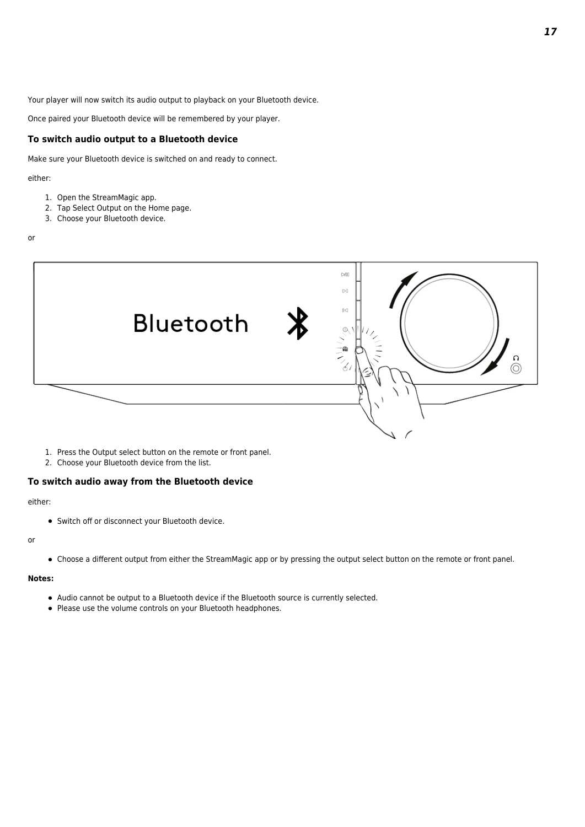Your player will now switch its audio output to playback on your Bluetooth device.

Once paired your Bluetooth device will be remembered by your player.

### **To switch audio output to a Bluetooth device**

Make sure your Bluetooth device is switched on and ready to connect.

#### either:

- 1. Open the StreamMagic app.
- 2. Tap Select Output on the Home page.
- 3. Choose your Bluetooth device.

#### or



- 1. Press the Output select button on the remote or front panel.
- 2. Choose your Bluetooth device from the list.

### **To switch audio away from the Bluetooth device**

### either:

Switch off or disconnect your Bluetooth device.

#### or

Choose a different output from either the StreamMagic app or by pressing the output select button on the remote or front panel.

### **Notes:**

- Audio cannot be output to a Bluetooth device if the Bluetooth source is currently selected.
- Please use the volume controls on your Bluetooth headphones.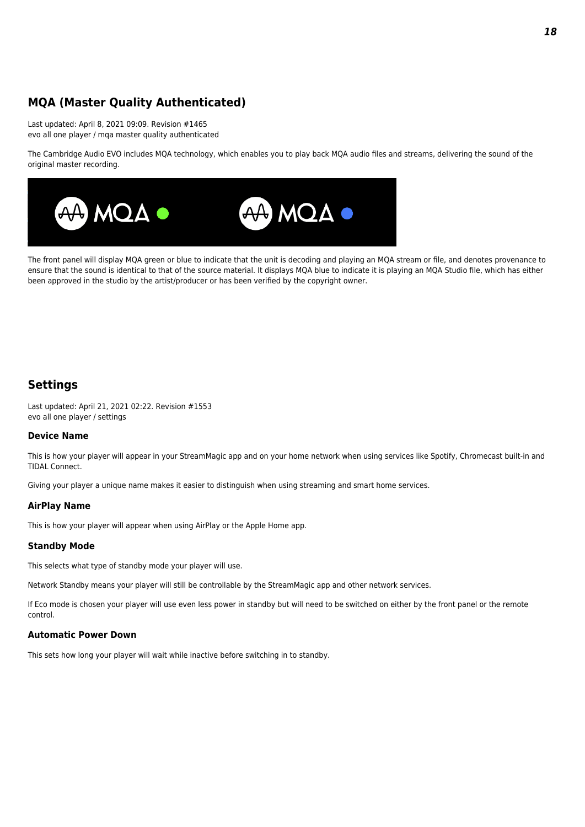### **MQA (Master Quality Authenticated)**

Last updated: April 8, 2021 09:09. Revision #1465 evo all one player / mqa master quality authenticated

The Cambridge Audio EVO includes MQA technology, which enables you to play back MQA audio files and streams, delivering the sound of the original master recording.



The front panel will display MQA green or blue to indicate that the unit is decoding and playing an MQA stream or file, and denotes provenance to ensure that the sound is identical to that of the source material. It displays MQA blue to indicate it is playing an MQA Studio file, which has either been approved in the studio by the artist/producer or has been verified by the copyright owner.

### **Settings**

Last updated: April 21, 2021 02:22. Revision #1553 evo all one player / settings

### **Device Name**

This is how your player will appear in your StreamMagic app and on your home network when using services like Spotify, Chromecast built-in and TIDAL Connect.

Giving your player a unique name makes it easier to distinguish when using streaming and smart home services.

### **AirPlay Name**

This is how your player will appear when using AirPlay or the Apple Home app.

### **Standby Mode**

This selects what type of standby mode your player will use.

Network Standby means your player will still be controllable by the StreamMagic app and other network services.

If Eco mode is chosen your player will use even less power in standby but will need to be switched on either by the front panel or the remote control.

### **Automatic Power Down**

This sets how long your player will wait while inactive before switching in to standby.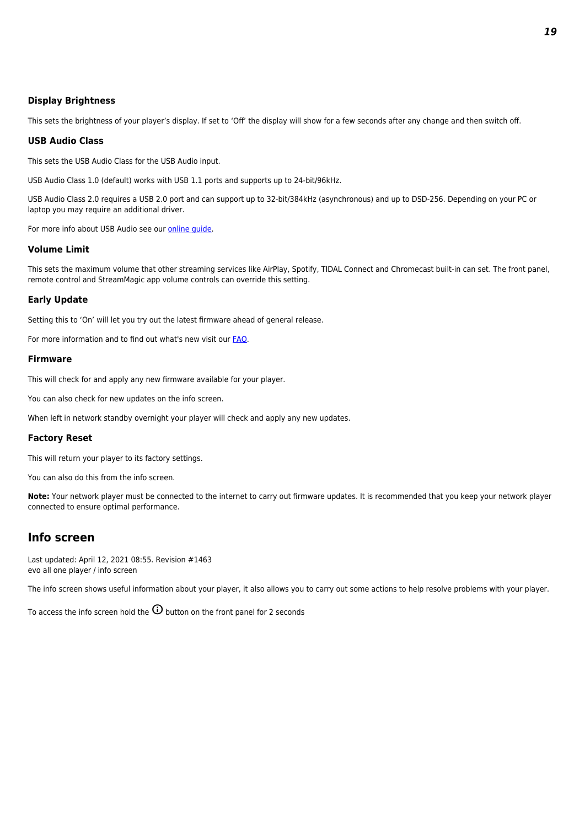### **Display Brightness**

This sets the brightness of your player's display. If set to 'Off' the display will show for a few seconds after any change and then switch off.

### **USB Audio Class**

This sets the USB Audio Class for the USB Audio input.

USB Audio Class 1.0 (default) works with USB 1.1 ports and supports up to 24-bit/96kHz.

USB Audio Class 2.0 requires a USB 2.0 port and can support up to 32-bit/384kHz (asynchronous) and up to DSD-256. Depending on your PC or laptop you may require an additional driver.

For more info about USB Audio see our [online guide](http://www.cambridgeaudio.com/USB-Audio).

### **Volume Limit**

This sets the maximum volume that other streaming services like AirPlay, Spotify, TIDAL Connect and Chromecast built-in can set. The front panel, remote control and StreamMagic app volume controls can override this setting.

### **Early Update**

Setting this to 'On' will let you try out the latest firmware ahead of general release.

For more information and to find out what's new visit our **[FAQ](https://techsupport.cambridgeaudio.com/hc/en-us/articles/205455321-What-are-Early-Updates-)**.

### **Firmware**

This will check for and apply any new firmware available for your player.

You can also check for new updates on the info screen.

When left in network standby overnight your player will check and apply any new updates.

### **Factory Reset**

This will return your player to its factory settings.

You can also do this from the info screen.

**Note:** Your network player must be connected to the internet to carry out firmware updates. It is recommended that you keep your network player connected to ensure optimal performance.

### **Info screen**

Last updated: April 12, 2021 08:55. Revision #1463 evo all one player / info screen

The info screen shows useful information about your player, it also allows you to carry out some actions to help resolve problems with your player.

To access the info screen hold the  $\overline{\omega}$  button on the front panel for 2 seconds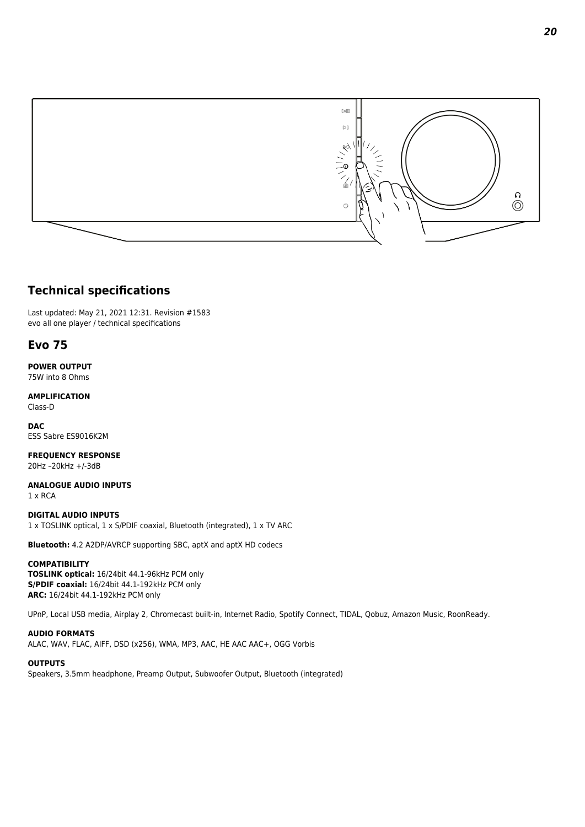

### **Technical specifications**

Last updated: May 21, 2021 12:31. Revision #1583 evo all one player / technical specifications

### **Evo 75**

**POWER OUTPUT** 75W into 8 Ohms

**AMPLIFICATION** Class-D

**DAC** ESS Sabre ES9016K2M

**FREQUENCY RESPONSE** 20Hz –20kHz +/-3dB

**ANALOGUE AUDIO INPUTS** 1 x RCA

**DIGITAL AUDIO INPUTS** 1 x TOSLINK optical, 1 x S/PDIF coaxial, Bluetooth (integrated), 1 x TV ARC

**Bluetooth:** 4.2 A2DP/AVRCP supporting SBC, aptX and aptX HD codecs

### **COMPATIBILITY**

**TOSLINK optical:** 16/24bit 44.1-96kHz PCM only **S/PDIF coaxial:** 16/24bit 44.1-192kHz PCM only **ARC:** 16/24bit 44.1-192kHz PCM only

UPnP, Local USB media, Airplay 2, Chromecast built-in, Internet Radio, Spotify Connect, TIDAL, Qobuz, Amazon Music, RoonReady.

### **AUDIO FORMATS**

ALAC, WAV, FLAC, AIFF, DSD (x256), WMA, MP3, AAC, HE AAC AAC+, OGG Vorbis

### **OUTPUTS**

Speakers, 3.5mm headphone, Preamp Output, Subwoofer Output, Bluetooth (integrated)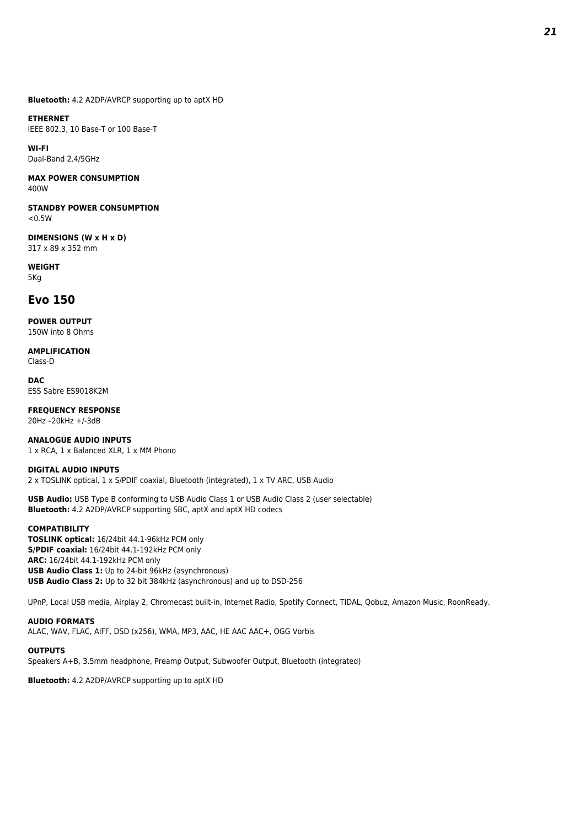**Bluetooth:** 4.2 A2DP/AVRCP supporting up to aptX HD

## **ETHERNET**

IEEE 802.3, 10 Base-T or 100 Base-T

**WI-FI** Dual-Band 2.4/5GHz

**MAX POWER CONSUMPTION** 400W

**STANDBY POWER CONSUMPTION**  $<0.5W$ 

**DIMENSIONS (W x H x D)** 317 x 89 x 352 mm

**WEIGHT** 5Kg

### **Evo 150**

**POWER OUTPUT** 150W into 8 Ohms

**AMPLIFICATION** Class-D

**DAC** ESS Sabre ES9018K2M

**FREQUENCY RESPONSE** 20Hz –20kHz +/-3dB

**ANALOGUE AUDIO INPUTS** 1 x RCA, 1 x Balanced XLR, 1 x MM Phono

### **DIGITAL AUDIO INPUTS**

2 x TOSLINK optical, 1 x S/PDIF coaxial, Bluetooth (integrated), 1 x TV ARC, USB Audio

**USB Audio:** USB Type B conforming to USB Audio Class 1 or USB Audio Class 2 (user selectable) **Bluetooth:** 4.2 A2DP/AVRCP supporting SBC, aptX and aptX HD codecs

### **COMPATIBILITY**

**TOSLINK optical:** 16/24bit 44.1-96kHz PCM only **S/PDIF coaxial:** 16/24bit 44.1-192kHz PCM only **ARC:** 16/24bit 44.1-192kHz PCM only **USB Audio Class 1:** Up to 24-bit 96kHz (asynchronous) **USB Audio Class 2:** Up to 32 bit 384kHz (asynchronous) and up to DSD-256

UPnP, Local USB media, Airplay 2, Chromecast built-in, Internet Radio, Spotify Connect, TIDAL, Qobuz, Amazon Music, RoonReady.

### **AUDIO FORMATS**

ALAC, WAV, FLAC, AIFF, DSD (x256), WMA, MP3, AAC, HE AAC AAC+, OGG Vorbis

### **OUTPUTS**

Speakers A+B, 3.5mm headphone, Preamp Output, Subwoofer Output, Bluetooth (integrated)

**Bluetooth:** 4.2 A2DP/AVRCP supporting up to aptX HD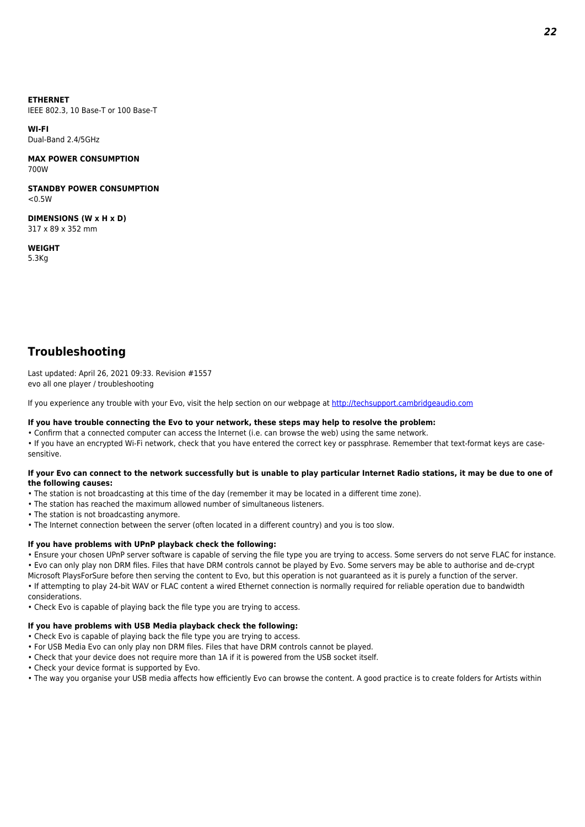### **ETHERNET**

IEEE 802.3, 10 Base-T or 100 Base-T

**WI-FI** Dual-Band 2.4/5GHz

### **MAX POWER CONSUMPTION** 700W

**STANDBY POWER CONSUMPTION**  $<sub>0</sub>$  5W</sub>

**DIMENSIONS (W x H x D)** 317 x 89 x 352 mm

**WEIGHT** 5.3Kg

### **Troubleshooting**

Last updated: April 26, 2021 09:33. Revision #1557 evo all one player / troubleshooting

If you experience any trouble with your Evo, visit the help section on our webpage at <http://techsupport.cambridgeaudio.com>

### **If you have trouble connecting the Evo to your network, these steps may help to resolve the problem:**

• Confirm that a connected computer can access the Internet (i.e. can browse the web) using the same network.

• If you have an encrypted Wi-Fi network, check that you have entered the correct key or passphrase. Remember that text-format keys are casesensitive.

### **If your Evo can connect to the network successfully but is unable to play particular Internet Radio stations, it may be due to one of the following causes:**

- The station is not broadcasting at this time of the day (remember it may be located in a different time zone).
- The station has reached the maximum allowed number of simultaneous listeners.
- The station is not broadcasting anymore.
- The Internet connection between the server (often located in a different country) and you is too slow.

### **If you have problems with UPnP playback check the following:**

• Ensure your chosen UPnP server software is capable of serving the file type you are trying to access. Some servers do not serve FLAC for instance.

• Evo can only play non DRM files. Files that have DRM controls cannot be played by Evo. Some servers may be able to authorise and de-crypt Microsoft PlaysForSure before then serving the content to Evo, but this operation is not guaranteed as it is purely a function of the server. • If attempting to play 24-bit WAV or FLAC content a wired Ethernet connection is normally required for reliable operation due to bandwidth considerations.

• Check Evo is capable of playing back the file type you are trying to access.

#### **If you have problems with USB Media playback check the following:**

- Check Evo is capable of playing back the file type you are trying to access.
- For USB Media Evo can only play non DRM files. Files that have DRM controls cannot be played.
- Check that your device does not require more than 1A if it is powered from the USB socket itself.
- Check your device format is supported by Evo.
- The way you organise your USB media affects how efficiently Evo can browse the content. A good practice is to create folders for Artists within